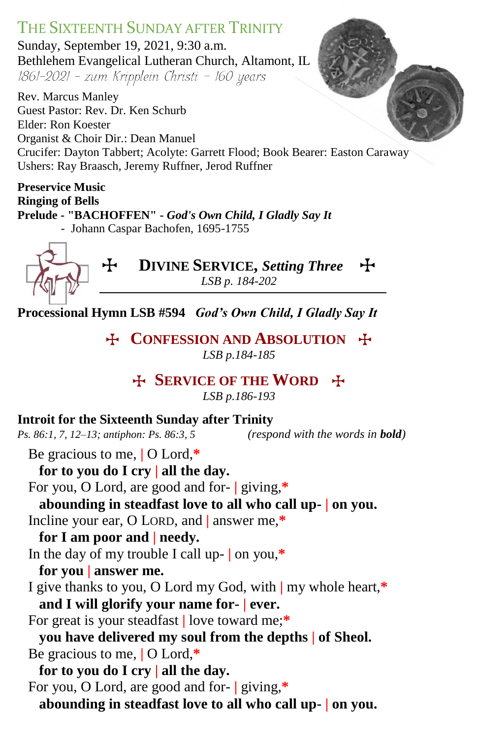# THE SIXTEENTH SUNDAY AFTER TRINITY

Sunday, September 19, 2021, 9:30 a.m. Bethlehem Evangelical Lutheran Church, Altamont, IL 1861-2021 - zum Kripplein Christi - 160 years

Rev. Marcus Manley Guest Pastor: Rev. Dr. Ken Schurb Elder: Ron Koester Organist & Choir Dir.: Dean Manuel Crucifer: Dayton Tabbert; Acolyte: Garrett Flood; Book Bearer: Easton Caraway Ushers: Ray Braasch, Jeremy Ruffner, Jerod Ruffner

**Preservice Music Ringing of Bells Prelude - "BACHOFFEN" -** *God's Own Child, I Gladly Say It -* Johann Caspar Bachofen, 1695-1755



T **DIVINE SERVICE,** *Setting Three*T *LSB p. 184-202*

**Processional Hymn LSB #594** *God's Own Child, I Gladly Say It*

**E** CONFESSION AND **ABSOLUTION**  $\ddot{+}$ *LSB p.184-185*

# T **SERVICE OF THE WORD** T

*LSB p.186-193*

#### **Introit for the Sixteenth Sunday after Trinity**

*Ps. 86:1, 7, 12–13; antiphon: Ps. 86:3, 5 (respond with the words in bold)*

Be gracious to me, **|** O Lord,**\***

**for to you do I cry | all the day.** For you, O Lord, are good and for- **|** giving,**\***

**abounding in steadfast love to all who call up- | on you.**

Incline your ear, O LORD, and **|** answer me,**\***

# **for I am poor and | needy.**

In the day of my trouble I call up- **|** on you,**\***

- **for you | answer me.**
- I give thanks to you, O Lord my God, with **|** my whole heart,**\* and I will glorify your name for- | ever.**
- For great is your steadfast **|** love toward me;**\***
- **you have delivered my soul from the depths | of Sheol.** Be gracious to me, **|** O Lord,**\***

**for to you do I cry | all the day.** For you, O Lord, are good and for- **|** giving,**\* abounding in steadfast love to all who call up- | on you.**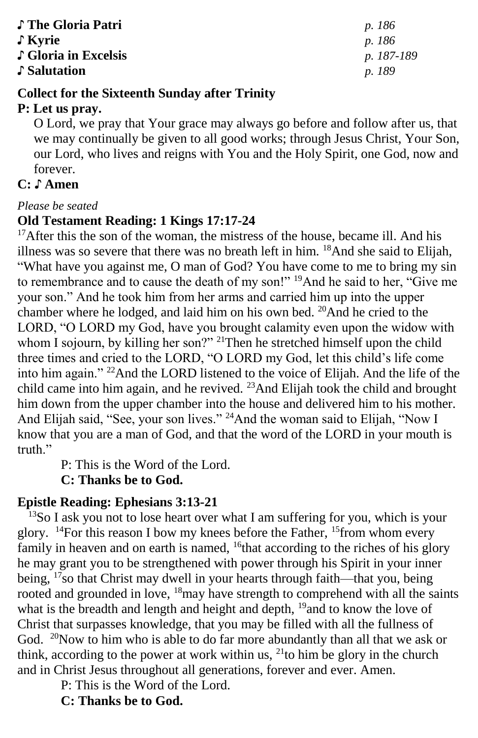| ♪ The Gloria Patri   | <i>p.</i> 186 |
|----------------------|---------------|
| ↓ Kyrie              | <i>p.</i> 186 |
| ♪ Gloria in Excelsis | p. 187        |
| ♪ Salutation         | p. 189        |

♪ **Gloria in Excelsis** *p. 187-189*

#### **Collect for the Sixteenth Sunday after Trinity**

#### **P: Let us pray.**

O Lord, we pray that Your grace may always go before and follow after us, that we may continually be given to all good works; through Jesus Christ, Your Son, our Lord, who lives and reigns with You and the Holy Spirit, one God, now and forever.

# **C:** ♪ **Amen**

#### *Please be seated*

#### **Old Testament Reading: 1 Kings 17:17-24**

<sup>17</sup>After this the son of the woman, the mistress of the house, became ill. And his illness was so severe that there was no breath left in him. <sup>18</sup>And she said to Elijah, "What have you against me, O man of God? You have come to me to bring my sin to remembrance and to cause the death of my son!" <sup>19</sup>And he said to her, "Give me your son." And he took him from her arms and carried him up into the upper chamber where he lodged, and laid him on his own bed. <sup>20</sup>And he cried to the LORD, "O LORD my God, have you brought calamity even upon the widow with whom I sojourn, by killing her son?" <sup>21</sup>Then he stretched himself upon the child three times and cried to the LORD, "O LORD my God, let this child's life come into him again." <sup>22</sup>And the LORD listened to the voice of Elijah. And the life of the child came into him again, and he revived. <sup>23</sup>And Elijah took the child and brought him down from the upper chamber into the house and delivered him to his mother. And Elijah said, "See, your son lives." <sup>24</sup>And the woman said to Elijah, "Now I know that you are a man of God, and that the word of the LORD in your mouth is truth."

P: This is the Word of the Lord.

**C: Thanks be to God.**

#### **Epistle Reading: Ephesians 3:13-21**

<sup>13</sup>So I ask you not to lose heart over what I am suffering for you, which is your glory. <sup>14</sup>For this reason I bow my knees before the Father, <sup>15</sup>from whom every family in heaven and on earth is named, <sup>16</sup>that according to the riches of his glory he may grant you to be strengthened with power through his Spirit in your inner being, <sup>17</sup>so that Christ may dwell in your hearts through faith—that you, being rooted and grounded in love, <sup>18</sup>may have strength to comprehend with all the saints what is the breadth and length and height and depth, <sup>19</sup>and to know the love of Christ that surpasses knowledge, that you may be filled with all the fullness of God. <sup>20</sup>Now to him who is able to do far more abundantly than all that we ask or think, according to the power at work within us,  $^{21}$ to him be glory in the church and in Christ Jesus throughout all generations, forever and ever. Amen.

P: This is the Word of the Lord.

#### **C: Thanks be to God.**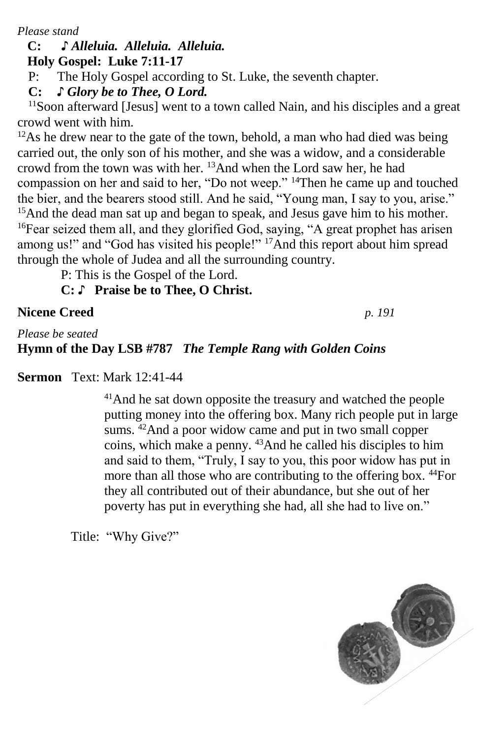*Please stand*

## **C: ♪** *Alleluia. Alleluia. Alleluia.*

 **Holy Gospel: Luke 7:11-17**

P: The Holy Gospel according to St. Luke, the seventh chapter.

**C:** *♪ Glory be to Thee, O Lord.*

<sup>11</sup>Soon afterward [Jesus] went to a town called Nain, and his disciples and a great crowd went with him.

<sup>12</sup>As he drew near to the gate of the town, behold, a man who had died was being carried out, the only son of his mother, and she was a widow, and a considerable crowd from the town was with her. <sup>13</sup>And when the Lord saw her, he had compassion on her and said to her, "Do not weep." <sup>14</sup>Then he came up and touched the bier, and the bearers stood still. And he said, "Young man, I say to you, arise." <sup>15</sup>And the dead man sat up and began to speak, and Jesus gave him to his mother. <sup>16</sup>Fear seized them all, and they glorified God, saying, "A great prophet has arisen among us!" and "God has visited his people!" <sup>17</sup>And this report about him spread through the whole of Judea and all the surrounding country.

P: This is the Gospel of the Lord.

**C:** ♪ **Praise be to Thee, O Christ.**

### **Nicene Creed** *p. 191*

*Please be seated*

### **Hymn of the Day LSB #787** *The Temple Rang with Golden Coins*

**Sermon** Text: Mark 12:41-44

<sup>41</sup>And he sat down opposite the treasury and watched the people putting money into the offering box. Many rich people put in large sums. <sup>42</sup>And a poor widow came and put in two small copper coins, which make a penny. <sup>43</sup>And he called his disciples to him and said to them, "Truly, I say to you, this poor widow has put in more than all those who are contributing to the offering box. <sup>44</sup>For they all contributed out of their abundance, but she out of her poverty has put in everything she had, all she had to live on."

Title: "Why Give?"